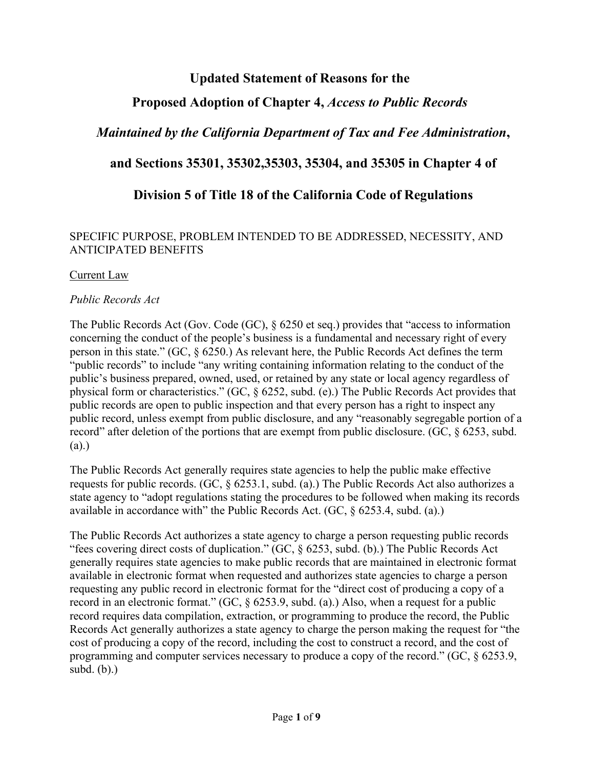# **Updated Statement of Reasons for the**

# **Proposed Adoption of Chapter 4,** *Access to Public Records*

# *Maintained by the California Department of Tax and Fee Administration***,**

# **and Sections 35301, 35302,35303, 35304, and 35305 in Chapter 4 of**

# **Division 5 of Title 18 of the California Code of Regulations**

### SPECIFIC PURPOSE, PROBLEM INTENDED TO BE ADDRESSED, NECESSITY, AND ANTICIPATED BENEFITS

#### Current Law

### *Public Records Act*

The Public Records Act (Gov. Code (GC), § 6250 et seq.) provides that "access to information concerning the conduct of the people's business is a fundamental and necessary right of every person in this state." (GC, § 6250.) As relevant here, the Public Records Act defines the term "public records" to include "any writing containing information relating to the conduct of the public's business prepared, owned, used, or retained by any state or local agency regardless of physical form or characteristics." (GC, § 6252, subd. (e).) The Public Records Act provides that public records are open to public inspection and that every person has a right to inspect any public record, unless exempt from public disclosure, and any "reasonably segregable portion of a record" after deletion of the portions that are exempt from public disclosure. (GC, § 6253, subd. (a).)

The Public Records Act generally requires state agencies to help the public make effective requests for public records. (GC, § 6253.1, subd. (a).) The Public Records Act also authorizes a state agency to "adopt regulations stating the procedures to be followed when making its records available in accordance with" the Public Records Act. (GC, § 6253.4, subd. (a).)

The Public Records Act authorizes a state agency to charge a person requesting public records "fees covering direct costs of duplication." (GC, § 6253, subd. (b).) The Public Records Act generally requires state agencies to make public records that are maintained in electronic format available in electronic format when requested and authorizes state agencies to charge a person requesting any public record in electronic format for the "direct cost of producing a copy of a record in an electronic format." (GC, § 6253.9, subd. (a).) Also, when a request for a public record requires data compilation, extraction, or programming to produce the record, the Public Records Act generally authorizes a state agency to charge the person making the request for "the cost of producing a copy of the record, including the cost to construct a record, and the cost of programming and computer services necessary to produce a copy of the record." (GC, § 6253.9, subd. (b).)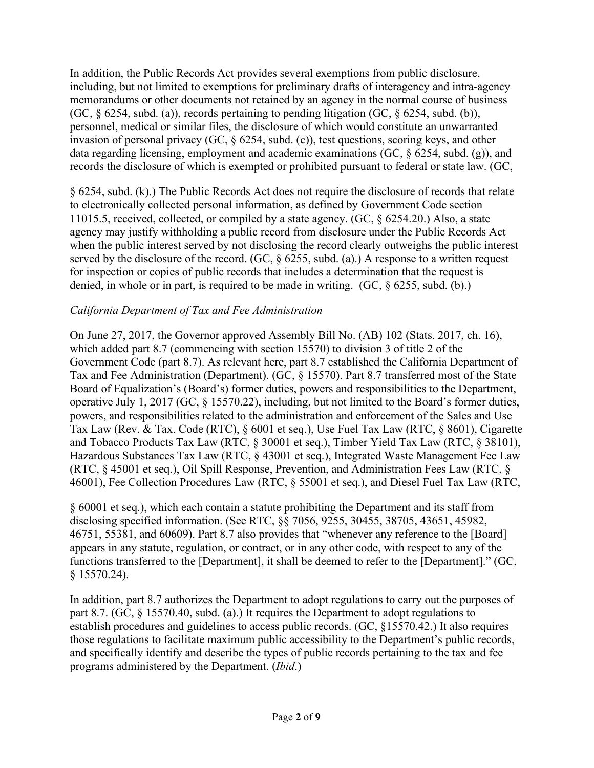In addition, the Public Records Act provides several exemptions from public disclosure, including, but not limited to exemptions for preliminary drafts of interagency and intra-agency memorandums or other documents not retained by an agency in the normal course of business (GC,  $\S$  6254, subd. (a)), records pertaining to pending litigation (GC,  $\S$  6254, subd. (b)), personnel, medical or similar files, the disclosure of which would constitute an unwarranted invasion of personal privacy (GC, § 6254, subd. (c)), test questions, scoring keys, and other data regarding licensing, employment and academic examinations (GC, § 6254, subd. (g)), and records the disclosure of which is exempted or prohibited pursuant to federal or state law. (GC,

§ 6254, subd. (k).) The Public Records Act does not require the disclosure of records that relate to electronically collected personal information, as defined by Government Code section 11015.5, received, collected, or compiled by a state agency. (GC, § 6254.20.) Also, a state agency may justify withholding a public record from disclosure under the Public Records Act when the public interest served by not disclosing the record clearly outweighs the public interest served by the disclosure of the record. (GC, § 6255, subd. (a).) A response to a written request for inspection or copies of public records that includes a determination that the request is denied, in whole or in part, is required to be made in writing. (GC, § 6255, subd. (b).)

### *California Department of Tax and Fee Administration*

On June 27, 2017, the Governor approved Assembly Bill No. (AB) 102 (Stats. 2017, ch. 16), which added part 8.7 (commencing with section 15570) to division 3 of title 2 of the Government Code (part 8.7). As relevant here, part 8.7 established the California Department of Tax and Fee Administration (Department). (GC, § 15570). Part 8.7 transferred most of the State Board of Equalization's (Board's) former duties, powers and responsibilities to the Department, operative July 1, 2017 (GC, § 15570.22), including, but not limited to the Board's former duties, powers, and responsibilities related to the administration and enforcement of the Sales and Use Tax Law (Rev. & Tax. Code (RTC), § 6001 et seq.), Use Fuel Tax Law (RTC, § 8601), Cigarette and Tobacco Products Tax Law (RTC, § 30001 et seq.), Timber Yield Tax Law (RTC, § 38101), Hazardous Substances Tax Law (RTC, § 43001 et seq.), Integrated Waste Management Fee Law (RTC, § 45001 et seq.), Oil Spill Response, Prevention, and Administration Fees Law (RTC, § 46001), Fee Collection Procedures Law (RTC, § 55001 et seq.), and Diesel Fuel Tax Law (RTC,

§ 60001 et seq.), which each contain a statute prohibiting the Department and its staff from disclosing specified information. (See RTC, §§ 7056, 9255, 30455, 38705, 43651, 45982, 46751, 55381, and 60609). Part 8.7 also provides that "whenever any reference to the [Board] appears in any statute, regulation, or contract, or in any other code, with respect to any of the functions transferred to the [Department], it shall be deemed to refer to the [Department]." (GC, § 15570.24).

In addition, part 8.7 authorizes the Department to adopt regulations to carry out the purposes of part 8.7. (GC, § 15570.40, subd. (a).) It requires the Department to adopt regulations to establish procedures and guidelines to access public records. (GC, §15570.42.) It also requires those regulations to facilitate maximum public accessibility to the Department's public records, and specifically identify and describe the types of public records pertaining to the tax and fee programs administered by the Department. (*Ibid*.)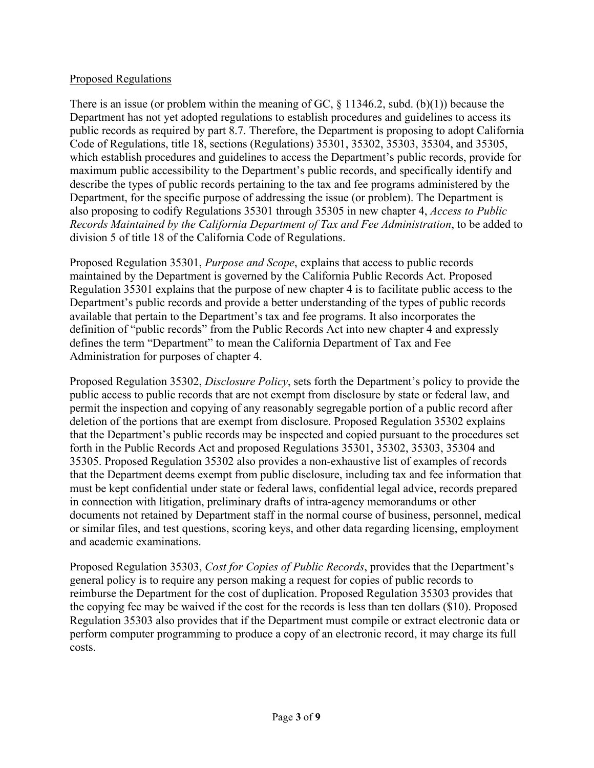#### Proposed Regulations

There is an issue (or problem within the meaning of GC,  $\S$  11346.2, subd. (b)(1)) because the Department has not yet adopted regulations to establish procedures and guidelines to access its public records as required by part 8.7. Therefore, the Department is proposing to adopt California Code of Regulations, title 18, sections (Regulations) 35301, 35302, 35303, 35304, and 35305, which establish procedures and guidelines to access the Department's public records, provide for maximum public accessibility to the Department's public records, and specifically identify and describe the types of public records pertaining to the tax and fee programs administered by the Department, for the specific purpose of addressing the issue (or problem). The Department is also proposing to codify Regulations 35301 through 35305 in new chapter 4, *Access to Public Records Maintained by the California Department of Tax and Fee Administration*, to be added to division 5 of title 18 of the California Code of Regulations.

Proposed Regulation 35301, *Purpose and Scope*, explains that access to public records maintained by the Department is governed by the California Public Records Act. Proposed Regulation 35301 explains that the purpose of new chapter 4 is to facilitate public access to the Department's public records and provide a better understanding of the types of public records available that pertain to the Department's tax and fee programs. It also incorporates the definition of "public records" from the Public Records Act into new chapter 4 and expressly defines the term "Department" to mean the California Department of Tax and Fee Administration for purposes of chapter 4.

Proposed Regulation 35302, *Disclosure Policy*, sets forth the Department's policy to provide the public access to public records that are not exempt from disclosure by state or federal law, and permit the inspection and copying of any reasonably segregable portion of a public record after deletion of the portions that are exempt from disclosure. Proposed Regulation 35302 explains that the Department's public records may be inspected and copied pursuant to the procedures set forth in the Public Records Act and proposed Regulations 35301, 35302, 35303, 35304 and 35305. Proposed Regulation 35302 also provides a non-exhaustive list of examples of records that the Department deems exempt from public disclosure, including tax and fee information that must be kept confidential under state or federal laws, confidential legal advice, records prepared in connection with litigation, preliminary drafts of intra-agency memorandums or other documents not retained by Department staff in the normal course of business, personnel, medical or similar files, and test questions, scoring keys, and other data regarding licensing, employment and academic examinations.

Proposed Regulation 35303, *Cost for Copies of Public Records*, provides that the Department's general policy is to require any person making a request for copies of public records to reimburse the Department for the cost of duplication. Proposed Regulation 35303 provides that the copying fee may be waived if the cost for the records is less than ten dollars (\$10). Proposed Regulation 35303 also provides that if the Department must compile or extract electronic data or perform computer programming to produce a copy of an electronic record, it may charge its full costs.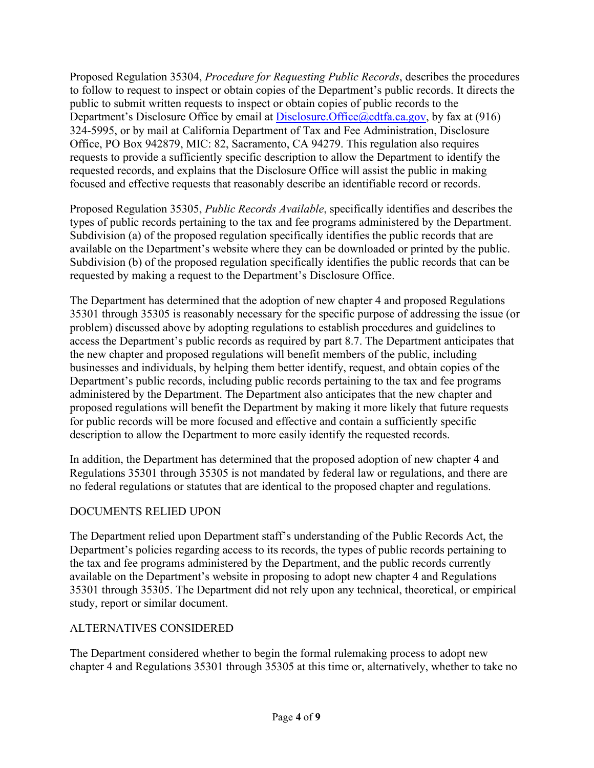Proposed Regulation 35304, *Procedure for Requesting Public Records*, describes the procedures to follow to request to inspect or obtain copies of the Department's public records. It directs the public to submit written requests to inspect or obtain copies of public records to the Department's Disclosure Office by email at [Disclosure.Office@cdtfa.ca.gov,](mailto:Disclosure.Office@cdtfa.ca.gov) by fax at (916) 324-5995, or by mail at California Department of Tax and Fee Administration, Disclosure Office, PO Box 942879, MIC: 82, Sacramento, CA 94279. This regulation also requires requests to provide a sufficiently specific description to allow the Department to identify the requested records, and explains that the Disclosure Office will assist the public in making focused and effective requests that reasonably describe an identifiable record or records.

Proposed Regulation 35305, *Public Records Available*, specifically identifies and describes the types of public records pertaining to the tax and fee programs administered by the Department. Subdivision (a) of the proposed regulation specifically identifies the public records that are available on the Department's website where they can be downloaded or printed by the public. Subdivision (b) of the proposed regulation specifically identifies the public records that can be requested by making a request to the Department's Disclosure Office.

The Department has determined that the adoption of new chapter 4 and proposed Regulations 35301 through 35305 is reasonably necessary for the specific purpose of addressing the issue (or problem) discussed above by adopting regulations to establish procedures and guidelines to access the Department's public records as required by part 8.7. The Department anticipates that the new chapter and proposed regulations will benefit members of the public, including businesses and individuals, by helping them better identify, request, and obtain copies of the Department's public records, including public records pertaining to the tax and fee programs administered by the Department. The Department also anticipates that the new chapter and proposed regulations will benefit the Department by making it more likely that future requests for public records will be more focused and effective and contain a sufficiently specific description to allow the Department to more easily identify the requested records.

In addition, the Department has determined that the proposed adoption of new chapter 4 and Regulations 35301 through 35305 is not mandated by federal law or regulations, and there are no federal regulations or statutes that are identical to the proposed chapter and regulations.

#### DOCUMENTS RELIED UPON

The Department relied upon Department staff's understanding of the Public Records Act, the Department's policies regarding access to its records, the types of public records pertaining to the tax and fee programs administered by the Department, and the public records currently available on the Department's website in proposing to adopt new chapter 4 and Regulations 35301 through 35305. The Department did not rely upon any technical, theoretical, or empirical study, report or similar document.

#### ALTERNATIVES CONSIDERED

The Department considered whether to begin the formal rulemaking process to adopt new chapter 4 and Regulations 35301 through 35305 at this time or, alternatively, whether to take no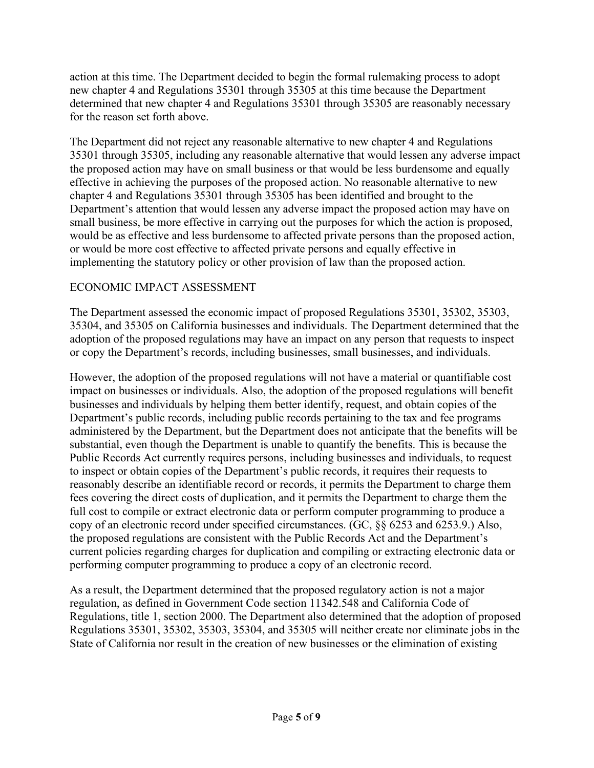action at this time. The Department decided to begin the formal rulemaking process to adopt new chapter 4 and Regulations 35301 through 35305 at this time because the Department determined that new chapter 4 and Regulations 35301 through 35305 are reasonably necessary for the reason set forth above.

The Department did not reject any reasonable alternative to new chapter 4 and Regulations 35301 through 35305, including any reasonable alternative that would lessen any adverse impact the proposed action may have on small business or that would be less burdensome and equally effective in achieving the purposes of the proposed action. No reasonable alternative to new chapter 4 and Regulations 35301 through 35305 has been identified and brought to the Department's attention that would lessen any adverse impact the proposed action may have on small business, be more effective in carrying out the purposes for which the action is proposed, would be as effective and less burdensome to affected private persons than the proposed action, or would be more cost effective to affected private persons and equally effective in implementing the statutory policy or other provision of law than the proposed action.

### ECONOMIC IMPACT ASSESSMENT

The Department assessed the economic impact of proposed Regulations 35301, 35302, 35303, 35304, and 35305 on California businesses and individuals. The Department determined that the adoption of the proposed regulations may have an impact on any person that requests to inspect or copy the Department's records, including businesses, small businesses, and individuals.

However, the adoption of the proposed regulations will not have a material or quantifiable cost impact on businesses or individuals. Also, the adoption of the proposed regulations will benefit businesses and individuals by helping them better identify, request, and obtain copies of the Department's public records, including public records pertaining to the tax and fee programs administered by the Department, but the Department does not anticipate that the benefits will be substantial, even though the Department is unable to quantify the benefits. This is because the Public Records Act currently requires persons, including businesses and individuals, to request to inspect or obtain copies of the Department's public records, it requires their requests to reasonably describe an identifiable record or records, it permits the Department to charge them fees covering the direct costs of duplication, and it permits the Department to charge them the full cost to compile or extract electronic data or perform computer programming to produce a copy of an electronic record under specified circumstances. (GC, §§ 6253 and 6253.9.) Also, the proposed regulations are consistent with the Public Records Act and the Department's current policies regarding charges for duplication and compiling or extracting electronic data or performing computer programming to produce a copy of an electronic record.

As a result, the Department determined that the proposed regulatory action is not a major regulation, as defined in Government Code section 11342.548 and California Code of Regulations, title 1, section 2000. The Department also determined that the adoption of proposed Regulations 35301, 35302, 35303, 35304, and 35305 will neither create nor eliminate jobs in the State of California nor result in the creation of new businesses or the elimination of existing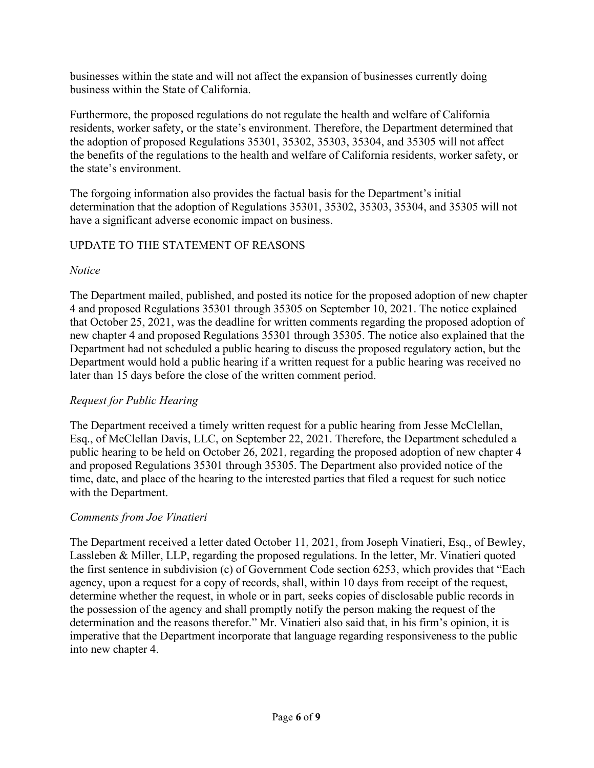businesses within the state and will not affect the expansion of businesses currently doing business within the State of California.

Furthermore, the proposed regulations do not regulate the health and welfare of California residents, worker safety, or the state's environment. Therefore, the Department determined that the adoption of proposed Regulations 35301, 35302, 35303, 35304, and 35305 will not affect the benefits of the regulations to the health and welfare of California residents, worker safety, or the state's environment.

The forgoing information also provides the factual basis for the Department's initial determination that the adoption of Regulations 35301, 35302, 35303, 35304, and 35305 will not have a significant adverse economic impact on business.

## UPDATE TO THE STATEMENT OF REASONS

### *Notice*

The Department mailed, published, and posted its notice for the proposed adoption of new chapter 4 and proposed Regulations 35301 through 35305 on September 10, 2021. The notice explained that October 25, 2021, was the deadline for written comments regarding the proposed adoption of new chapter 4 and proposed Regulations 35301 through 35305. The notice also explained that the Department had not scheduled a public hearing to discuss the proposed regulatory action, but the Department would hold a public hearing if a written request for a public hearing was received no later than 15 days before the close of the written comment period.

## *Request for Public Hearing*

The Department received a timely written request for a public hearing from Jesse McClellan, Esq., of McClellan Davis, LLC, on September 22, 2021. Therefore, the Department scheduled a public hearing to be held on October 26, 2021, regarding the proposed adoption of new chapter 4 and proposed Regulations 35301 through 35305. The Department also provided notice of the time, date, and place of the hearing to the interested parties that filed a request for such notice with the Department.

## *Comments from Joe Vinatieri*

The Department received a letter dated October 11, 2021, from Joseph Vinatieri, Esq., of Bewley, Lassleben & Miller, LLP, regarding the proposed regulations. In the letter, Mr. Vinatieri quoted the first sentence in subdivision (c) of Government Code section 6253, which provides that "Each agency, upon a request for a copy of records, shall, within 10 days from receipt of the request, determine whether the request, in whole or in part, seeks copies of disclosable public records in the possession of the agency and shall promptly notify the person making the request of the determination and the reasons therefor." Mr. Vinatieri also said that, in his firm's opinion, it is imperative that the Department incorporate that language regarding responsiveness to the public into new chapter 4.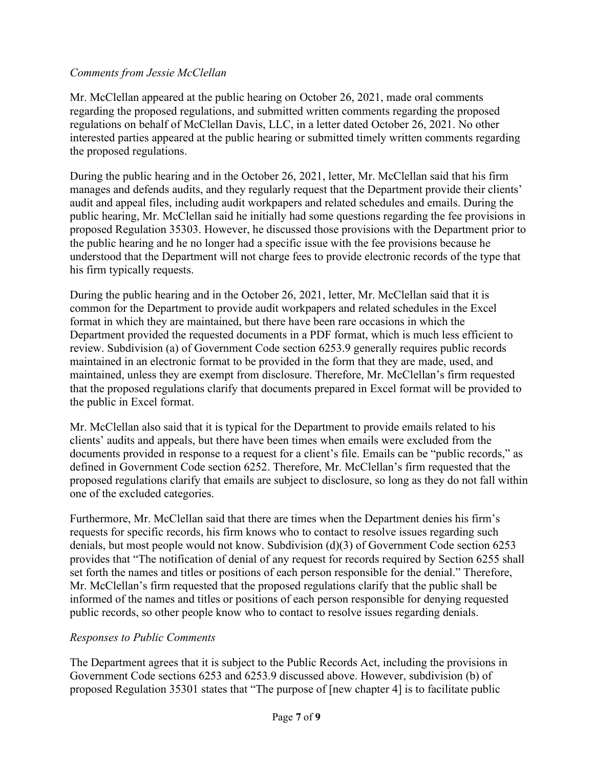#### *Comments from Jessie McClellan*

Mr. McClellan appeared at the public hearing on October 26, 2021, made oral comments regarding the proposed regulations, and submitted written comments regarding the proposed regulations on behalf of McClellan Davis, LLC, in a letter dated October 26, 2021. No other interested parties appeared at the public hearing or submitted timely written comments regarding the proposed regulations.

During the public hearing and in the October 26, 2021, letter, Mr. McClellan said that his firm manages and defends audits, and they regularly request that the Department provide their clients' audit and appeal files, including audit workpapers and related schedules and emails. During the public hearing, Mr. McClellan said he initially had some questions regarding the fee provisions in proposed Regulation 35303. However, he discussed those provisions with the Department prior to the public hearing and he no longer had a specific issue with the fee provisions because he understood that the Department will not charge fees to provide electronic records of the type that his firm typically requests.

During the public hearing and in the October 26, 2021, letter, Mr. McClellan said that it is common for the Department to provide audit workpapers and related schedules in the Excel format in which they are maintained, but there have been rare occasions in which the Department provided the requested documents in a PDF format, which is much less efficient to review. Subdivision (a) of Government Code section 6253.9 generally requires public records maintained in an electronic format to be provided in the form that they are made, used, and maintained, unless they are exempt from disclosure. Therefore, Mr. McClellan's firm requested that the proposed regulations clarify that documents prepared in Excel format will be provided to the public in Excel format.

Mr. McClellan also said that it is typical for the Department to provide emails related to his clients' audits and appeals, but there have been times when emails were excluded from the documents provided in response to a request for a client's file. Emails can be "public records," as defined in Government Code section 6252. Therefore, Mr. McClellan's firm requested that the proposed regulations clarify that emails are subject to disclosure, so long as they do not fall within one of the excluded categories.

Furthermore, Mr. McClellan said that there are times when the Department denies his firm's requests for specific records, his firm knows who to contact to resolve issues regarding such denials, but most people would not know. Subdivision (d)(3) of Government Code section 6253 provides that "The notification of denial of any request for records required by Section 6255 shall set forth the names and titles or positions of each person responsible for the denial." Therefore, Mr. McClellan's firm requested that the proposed regulations clarify that the public shall be informed of the names and titles or positions of each person responsible for denying requested public records, so other people know who to contact to resolve issues regarding denials.

#### *Responses to Public Comments*

The Department agrees that it is subject to the Public Records Act, including the provisions in Government Code sections 6253 and 6253.9 discussed above. However, subdivision (b) of proposed Regulation 35301 states that "The purpose of [new chapter 4] is to facilitate public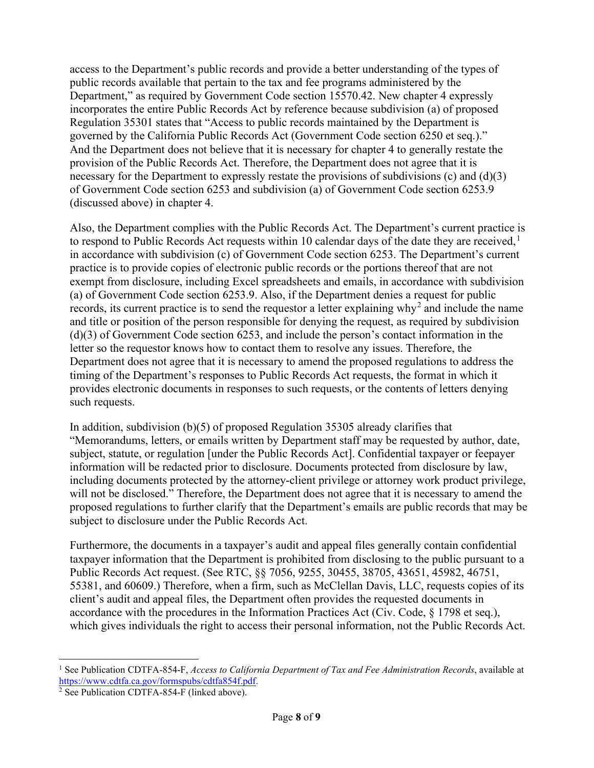access to the Department's public records and provide a better understanding of the types of public records available that pertain to the tax and fee programs administered by the Department," as required by Government Code section 15570.42. New chapter 4 expressly incorporates the entire Public Records Act by reference because subdivision (a) of proposed Regulation 35301 states that "Access to public records maintained by the Department is governed by the California Public Records Act (Government Code section 6250 et seq.)." And the Department does not believe that it is necessary for chapter 4 to generally restate the provision of the Public Records Act. Therefore, the Department does not agree that it is necessary for the Department to expressly restate the provisions of subdivisions (c) and (d)(3) of Government Code section 6253 and subdivision (a) of Government Code section 6253.9 (discussed above) in chapter 4.

Also, the Department complies with the Public Records Act. The Department's current practice is to respond to Public Records Act requests within 10 calendar days of the date they are received,  $\frac{1}{1}$ in accordance with subdivision (c) of Government Code section 6253. The Department's current practice is to provide copies of electronic public records or the portions thereof that are not exempt from disclosure, including Excel spreadsheets and emails, in accordance with subdivision (a) of Government Code section 6253.9. Also, if the Department denies a request for public records, its current practice is to send the requestor a letter explaining why<sup>2</sup> and include the name and title or position of the person responsible for denying the request, as required by subdivision (d)(3) of Government Code section 6253, and include the person's contact information in the letter so the requestor knows how to contact them to resolve any issues. Therefore, the Department does not agree that it is necessary to amend the proposed regulations to address the timing of the Department's responses to Public Records Act requests, the format in which it provides electronic documents in responses to such requests, or the contents of letters denying such requests.

In addition, subdivision (b)(5) of proposed Regulation 35305 already clarifies that "Memorandums, letters, or emails written by Department staff may be requested by author, date, subject, statute, or regulation [under the Public Records Act]. Confidential taxpayer or feepayer information will be redacted prior to disclosure. Documents protected from disclosure by law, including documents protected by the attorney-client privilege or attorney work product privilege, will not be disclosed." Therefore, the Department does not agree that it is necessary to amend the proposed regulations to further clarify that the Department's emails are public records that may be subject to disclosure under the Public Records Act.

Furthermore, the documents in a taxpayer's audit and appeal files generally contain confidential taxpayer information that the Department is prohibited from disclosing to the public pursuant to a Public Records Act request. (See RTC, §§ 7056, 9255, 30455, 38705, 43651, 45982, 46751, 55381, and 60609.) Therefore, when a firm, such as McClellan Davis, LLC, requests copies of its client's audit and appeal files, the Department often provides the requested documents in accordance with the procedures in the Information Practices Act (Civ. Code, § 1798 et seq.), which gives individuals the right to access their personal information, not the Public Records Act.

<sup>1</sup> See Publication CDTFA-854-F, *Access to California Department of Tax and Fee Administration Records*, available at [https://www.cdtfa.ca.gov/formspubs/cdtfa854f.pdf.](https://www.cdtfa.ca.gov/formspubs/cdtfa854f.pdf)

<sup>2</sup> See Publication CDTFA-854-F (linked above).